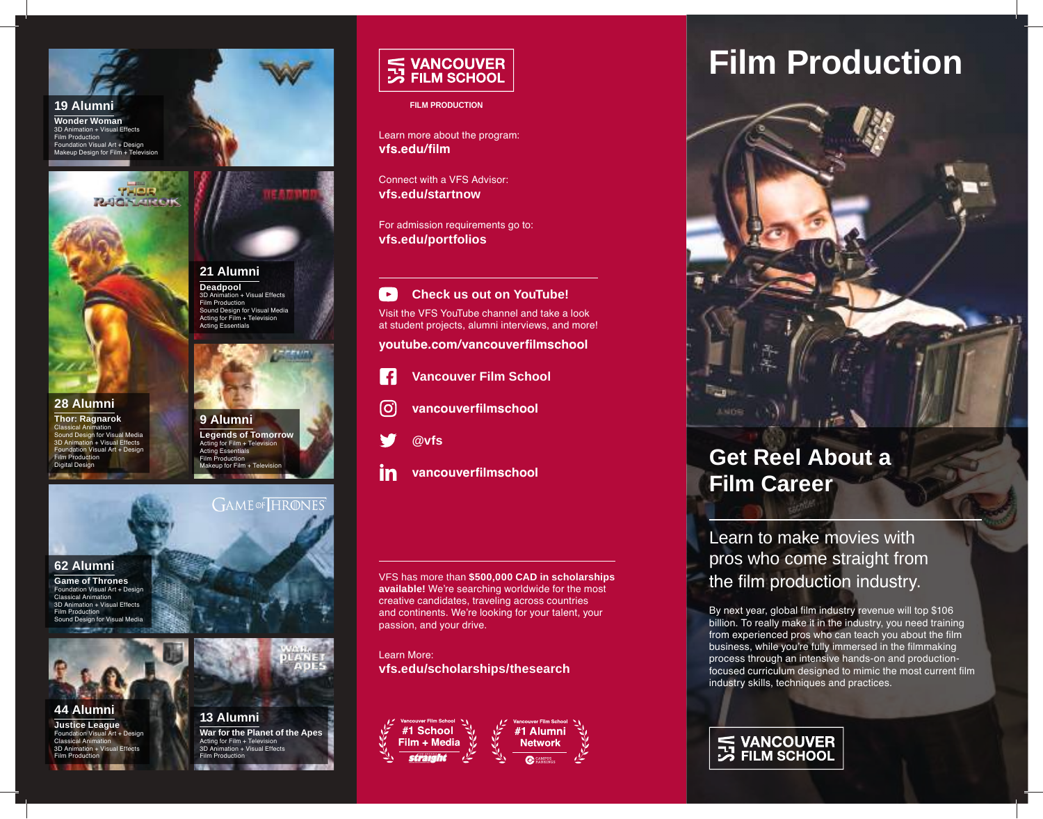

**19 Alumni Wonder Woman** 3D Animation + Visual Effects Film Production Foundation Visual Art + Design Makeup Design for Film + Television



#### 3D Animation + Visual Effects **Film Production** Sound Design for Visual Media Acting for Film + Television Acting Essentials

## **28 Alumni**

**Thor: Ragnarok** Classical Animation Sound Design for Visual Media 3D Animation + Visual Effects Foundation Visual Art + Design Film Production **Digital Design** 

**9 Alumni Legends of Tomorrow** Acting for Film + Television **Acting Essentials** 

**CHEVAN** 



**21 Alumni Deadpool**

### **62 Alumni**

**Game of Thrones** Foundation Visual Art + Design Classical Animation 3D Animation + Visual Effects Film Production nd Design for Visual Media



**44 Alumni Justice League** Foundation Visual Art + Design Classical Animation tion + Visual Effects Film Production

**13 Alumni War for the Planet of the Apes** Acting for Film + Television<br>3D Animation + Visual Effects Film Production



### **FILM PRODUCTION**

Learn more about the program: **vfs.edu/film**

Connect with a VFS Advisor: **vfs.edu/startnow**

For admission requirements go to: **vfs.edu/portfolios**

**D Check us out on YouTube!** Visit the VFS YouTube channel and take a look at student projects, alumni interviews, and more!

**youtube.com/vancouverfilmschool**

- **Vancouver Film School** f
- (ဝ **vancouverfilmschool**
- **@vfs**
- in **vancouverfilmschool**

VFS has more than **\$500,000 CAD in scholarships available!** We're searching worldwide for the most creative candidates, traveling across countries and continents. We're looking for your talent, your passion, and your drive.

Learn More: **vfs.edu/scholarships/thesearch**



# **Film Production**



## **Get Reel About a Film Career**

**S VANCOUVER**<br>37 FILM SCHOOL

Learn to make movies with pros who come straight from the film production industry.

By next year, global film industry revenue will top \$106 billion. To really make it in the industry, you need training from experienced pros who can teach you about the film business, while you're fully immersed in the filmmaking process through an intensive hands-on and productionfocused curriculum designed to mimic the most current film industry skills, techniques and practices.